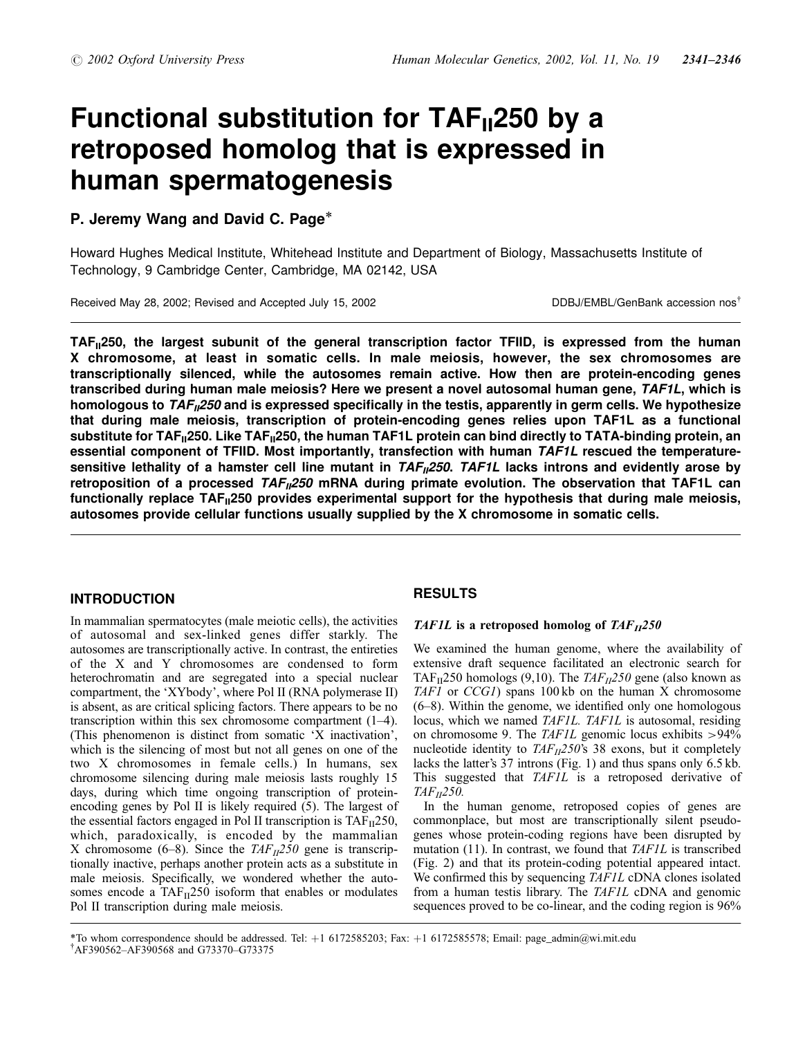# Functional substitution for  $TAF_{II}250$  by a retroposed homolog that is expressed in human spermatogenesis

# P. Jeremy Wang and David C. Page\*

Howard Hughes Medical Institute, Whitehead Institute and Department of Biology, Massachusetts Institute of Technology, 9 Cambridge Center, Cambridge, MA 02142, USA

Received May 28, 2002; Revised and Accepted July 15, 2002 DDBJ/EMBL/GenBank accession nos<sup>†</sup>

TAF<sub>II</sub>250, the largest subunit of the general transcription factor TFIID, is expressed from the human X chromosome, at least in somatic cells. In male meiosis, however, the sex chromosomes are transcriptionally silenced, while the autosomes remain active. How then are protein-encoding genes transcribed during human male meiosis? Here we present a novel autosomal human gene, TAF1L, which is homologous to  $TAF_{II}250$  and is expressed specifically in the testis, apparently in germ cells. We hypothesize that during male meiosis, transcription of protein-encoding genes relies upon TAF1L as a functional substitute for TAF<sub>II</sub>250. Like TAF<sub>II</sub>250, the human TAF1L protein can bind directly to TATA-binding protein, an essential component of TFIID. Most importantly, transfection with human TAF1L rescued the temperaturesensitive lethality of a hamster cell line mutant in  $TAF_{II}250$ . TAF1L lacks introns and evidently arose by retroposition of a processed  $TAF_{II}250$  mRNA during primate evolution. The observation that TAF1L can functionally replace  $TAF_{II}250$  provides experimental support for the hypothesis that during male meiosis, autosomes provide cellular functions usually supplied by the X chromosome in somatic cells.

# INTRODUCTION

In mammalian spermatocytes (male meiotic cells), the activities of autosomal and sex-linked genes differ starkly. The autosomes are transcriptionally active. In contrast, the entireties of the X and Y chromosomes are condensed to form heterochromatin and are segregated into a special nuclear compartment, the 'XYbody', where Pol II (RNA polymerase II) is absent, as are critical splicing factors. There appears to be no transcription within this sex chromosome compartment (1–4). (This phenomenon is distinct from somatic 'X inactivation', which is the silencing of most but not all genes on one of the two X chromosomes in female cells.) In humans, sex chromosome silencing during male meiosis lasts roughly 15 days, during which time ongoing transcription of proteinencoding genes by Pol II is likely required (5). The largest of the essential factors engaged in Pol II transcription is  $TAF_{II}250$ , which, paradoxically, is encoded by the mammalian X chromosome (6–8). Since the  $TAF_{II}250$  gene is transcriptionally inactive, perhaps another protein acts as a substitute in male meiosis. Specifically, we wondered whether the autosomes encode a TAF<sub>II</sub>250 isoform that enables or modulates Pol II transcription during male meiosis.

# RESULTS

## TAF1L is a retroposed homolog of  $TAF_{II}250$

We examined the human genome, where the availability of extensive draft sequence facilitated an electronic search for TAF<sub>II</sub>250 homologs (9,10). The  $TAF_{II}250$  gene (also known as TAF1 or CCG1) spans 100 kb on the human X chromosome (6–8). Within the genome, we identified only one homologous locus, which we named TAF1L. TAF1L is autosomal, residing on chromosome 9. The TAF1L genomic locus exhibits >94% nucleotide identity to  $TAF_{II}250$ 's 38 exons, but it completely lacks the latter's 37 introns (Fig. 1) and thus spans only 6.5 kb. This suggested that TAF1L is a retroposed derivative of  $TAF_{II}250$ .

In the human genome, retroposed copies of genes are commonplace, but most are transcriptionally silent pseudogenes whose protein-coding regions have been disrupted by mutation  $(11)$ . In contrast, we found that  $TAFIL$  is transcribed (Fig. 2) and that its protein-coding potential appeared intact. We confirmed this by sequencing TAF1L cDNA clones isolated from a human testis library. The TAF1L cDNA and genomic sequences proved to be co-linear, and the coding region is 96%

<sup>\*</sup>To whom correspondence should be addressed. Tel: <sup>þ</sup>1 6172585203; Fax: <sup>þ</sup>1 6172585578; Email: page\_admin@wi.mit.edu { AF390562–AF390568 and G73370–G73375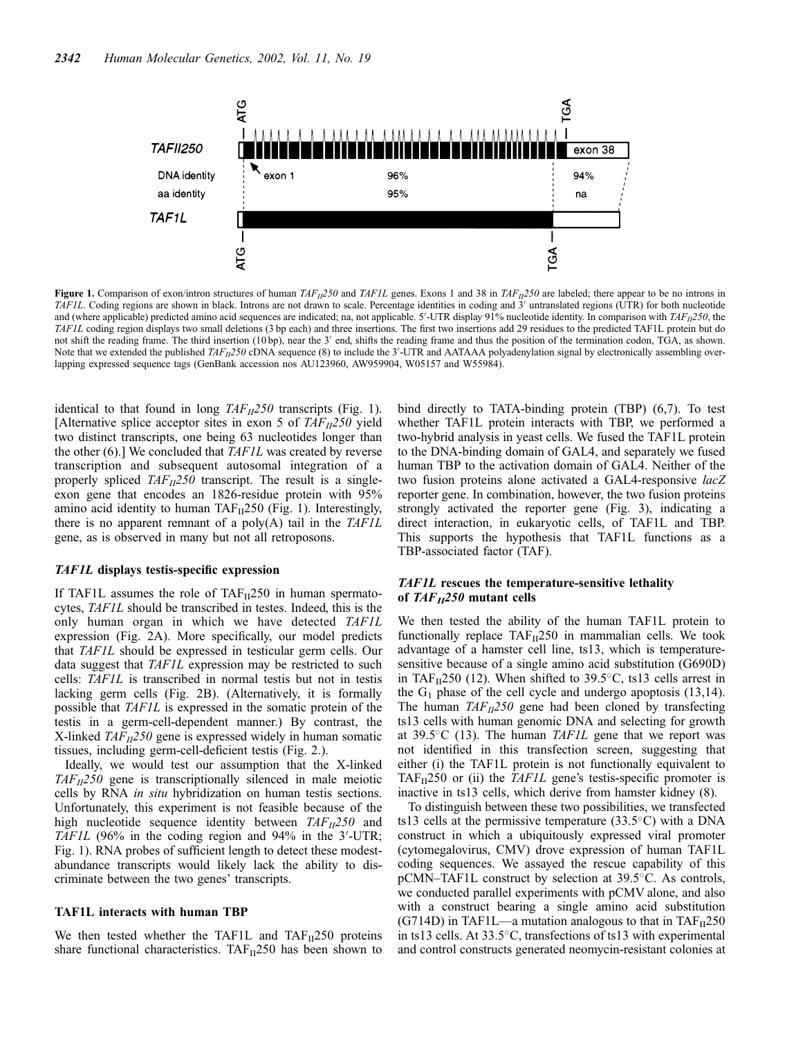

Figure 1. Comparison of exon/intron structures of human  $TAF_{II}250$  and  $TAF_{II}$  genes. Exons 1 and 38 in  $TAF_{II}250$  are labeled; there appear to be no introns in TAF1L. Coding regions are shown in black. Introns are not drawn to scale. Percentage identities in coding and 3' untranslated regions (UTR) for both nucleotide and (where applicable) predicted amino acid sequences are indicated; na, not applicable.  $5'-UTR$  display 91% nucleotide identity. In comparison with  $TAF_{II}250$ , the TAF1L coding region displays two small deletions (3 bp each) and three insertions. The first two insertions add 29 residues to the predicted TAF1L protein but do not shift the reading frame. The third insertion (10 bp), near the 3' end, shifts the reading frame and thus the position of the termination codon, TGA, as shown. Note that we extended the published  $TAF_{II}250$  cDNA sequence (8) to include the 3'-UTR and AATAAA polyadenylation signal by electronically assembling overlapping expressed sequence tags (GenBank accession nos AU123960, AW959904, W05157 and W55984).

identical to that found in long  $TAF_{II}250$  transcripts (Fig. 1). [Alternative splice acceptor sites in exon 5 of  $TAF_{II}250$  yield two distinct transcripts, one being 63 nucleotides longer than the other (6).] We concluded that TAF1L was created by reverse transcription and subsequent autosomal integration of a properly spliced  $TAF_{II}250$  transcript. The result is a singleexon gene that encodes an 1826-residue protein with 95% amino acid identity to human  $TAF_{II}250$  (Fig. 1). Interestingly, there is no apparent remnant of a poly $(A)$  tail in the TAF1L gene, as is observed in many but not all retroposons.

## TAF1L displays testis-specific expression

If TAF1L assumes the role of  $TAF_{II}250$  in human spermatocytes, TAF1L should be transcribed in testes. Indeed, this is the only human organ in which we have detected TAF1L expression (Fig. 2A). More specifically, our model predicts that TAF1L should be expressed in testicular germ cells. Our data suggest that TAF1L expression may be restricted to such cells: TAF1L is transcribed in normal testis but not in testis lacking germ cells (Fig. 2B). (Alternatively, it is formally possible that TAF1L is expressed in the somatic protein of the testis in a germ-cell-dependent manner.) By contrast, the X-linked  $TAF_{II}250$  gene is expressed widely in human somatic tissues, including germ-cell-deficient testis (Fig. 2.).

Ideally, we would test our assumption that the X-linked  $TAF_{II}250$  gene is transcriptionally silenced in male meiotic cells by RNA in situ hybridization on human testis sections. Unfortunately, this experiment is not feasible because of the high nucleotide sequence identity between  $TAF_{II}250$  and TAF1L (96% in the coding region and 94% in the  $3'$ -UTR; Fig. 1). RNA probes of sufficient length to detect these modestabundance transcripts would likely lack the ability to discriminate between the two genes' transcripts.

## TAF1L interacts with human TBP

We then tested whether the TAF1L and  $TAF_{II}250$  proteins share functional characteristics. TAF $_{II}$ 250 has been shown to bind directly to TATA-binding protein (TBP) (6,7). To test whether TAF1L protein interacts with TBP, we performed a two-hybrid analysis in yeast cells. We fused the TAF1L protein to the DNA-binding domain of GAL4, and separately we fused human TBP to the activation domain of GAL4. Neither of the two fusion proteins alone activated a GAL4-responsive lacZ reporter gene. In combination, however, the two fusion proteins strongly activated the reporter gene (Fig. 3), indicating a direct interaction, in eukaryotic cells, of TAF1L and TBP. This supports the hypothesis that TAF1L functions as a TBP-associated factor (TAF).

## TAF1L rescues the temperature-sensitive lethality of  $TAF_{II}250$  mutant cells

We then tested the ability of the human TAF1L protein to functionally replace  $TAF_{II}250$  in mammalian cells. We took advantage of a hamster cell line, ts13, which is temperaturesensitive because of a single amino acid substitution (G690D) in TAF $_{II}$ 250 (12). When shifted to 39.5°C, ts13 cells arrest in the  $G_1$  phase of the cell cycle and undergo apoptosis (13,14). The human  $TAF_{II}250$  gene had been cloned by transfecting ts13 cells with human genomic DNA and selecting for growth at  $39.5^{\circ}$ C (13). The human TAF1L gene that we report was not identified in this transfection screen, suggesting that either (i) the TAF1L protein is not functionally equivalent to TAF $_{II}$ 250 or (ii) the *TAF1L* gene's testis-specific promoter is inactive in ts13 cells, which derive from hamster kidney (8).

To distinguish between these two possibilities, we transfected ts13 cells at the permissive temperature  $(33.5^{\circ}C)$  with a DNA construct in which a ubiquitously expressed viral promoter (cytomegalovirus, CMV) drove expression of human TAF1L coding sequences. We assayed the rescue capability of this pCMN–TAF1L construct by selection at 39.5°C. As controls, we conducted parallel experiments with pCMV alone, and also with a construct bearing a single amino acid substitution  $(G714D)$  in TAF1L—a mutation analogous to that in TAF $_{II}250$ in ts13 cells. At 33.5°C, transfections of ts13 with experimental and control constructs generated neomycin-resistant colonies at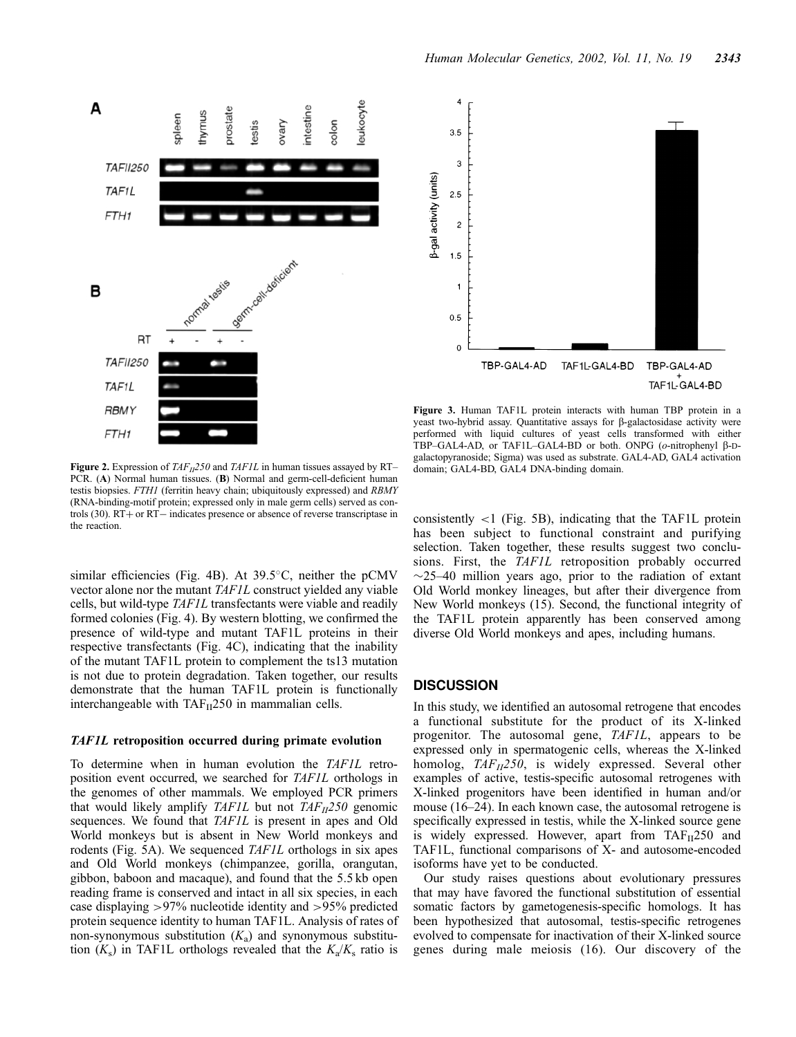



Figure 3. Human TAF1L protein interacts with human TBP protein in a yeast two-hybrid assay. Quantitative assays for  $\beta$ -galactosidase activity were performed with liquid cultures of yeast cells transformed with either TBP–GAL4-AD, or TAF1L–GAL4-BD or both. ONPG (o-nitrophenyl β-Dgalactopyranoside; Sigma) was used as substrate. GAL4-AD, GAL4 activation domain; GAL4-BD, GAL4 DNA-binding domain.

Figure 2. Expression of  $TAF_{II}250$  and  $TAF1L$  in human tissues assayed by RT– PCR. (A) Normal human tissues. (B) Normal and germ-cell-deficient human testis biopsies. FTH1 (ferritin heavy chain; ubiquitously expressed) and RBMY (RNA-binding-motif protein; expressed only in male germ cells) served as controls  $(30)$ . RT  $+$  or RT  $-$  indicates presence or absence of reverse transcriptase in the reaction.

similar efficiencies (Fig. 4B). At 39.5°C, neither the pCMV vector alone nor the mutant TAF1L construct yielded any viable cells, but wild-type TAF1L transfectants were viable and readily formed colonies (Fig. 4). By western blotting, we confirmed the presence of wild-type and mutant TAF1L proteins in their respective transfectants (Fig. 4C), indicating that the inability of the mutant TAF1L protein to complement the ts13 mutation is not due to protein degradation. Taken together, our results demonstrate that the human TAF1L protein is functionally interchangeable with  $TAF_{II}250$  in mammalian cells.

#### TAF1L retroposition occurred during primate evolution

To determine when in human evolution the TAF1L retroposition event occurred, we searched for TAF1L orthologs in the genomes of other mammals. We employed PCR primers that would likely amplify TAF1L but not  $TAF_{II}250$  genomic sequences. We found that TAF1L is present in apes and Old World monkeys but is absent in New World monkeys and rodents (Fig. 5A). We sequenced TAF1L orthologs in six apes and Old World monkeys (chimpanzee, gorilla, orangutan, gibbon, baboon and macaque), and found that the 5.5 kb open reading frame is conserved and intact in all six species, in each case displaying >97% nucleotide identity and >95% predicted protein sequence identity to human TAF1L. Analysis of rates of non-synonymous substitution  $(K_a)$  and synonymous substitution  $(K_s)$  in TAF1L orthologs revealed that the  $K_a/K_s$  ratio is

consistently <1 (Fig. 5B), indicating that the TAF1L protein has been subject to functional constraint and purifying selection. Taken together, these results suggest two conclusions. First, the TAF1L retroposition probably occurred  $\sim$ 25–40 million years ago, prior to the radiation of extant Old World monkey lineages, but after their divergence from New World monkeys (15). Second, the functional integrity of the TAF1L protein apparently has been conserved among diverse Old World monkeys and apes, including humans.

## **DISCUSSION**

In this study, we identified an autosomal retrogene that encodes a functional substitute for the product of its X-linked progenitor. The autosomal gene, TAF1L, appears to be expressed only in spermatogenic cells, whereas the X-linked homolog,  $TAF_{II}250$ , is widely expressed. Several other examples of active, testis-specific autosomal retrogenes with X-linked progenitors have been identified in human and/or mouse (16–24). In each known case, the autosomal retrogene is specifically expressed in testis, while the X-linked source gene is widely expressed. However, apart from  $TAF_{II}250$  and TAF1L, functional comparisons of X- and autosome-encoded isoforms have yet to be conducted.

Our study raises questions about evolutionary pressures that may have favored the functional substitution of essential somatic factors by gametogenesis-specific homologs. It has been hypothesized that autosomal, testis-specific retrogenes evolved to compensate for inactivation of their X-linked source genes during male meiosis (16). Our discovery of the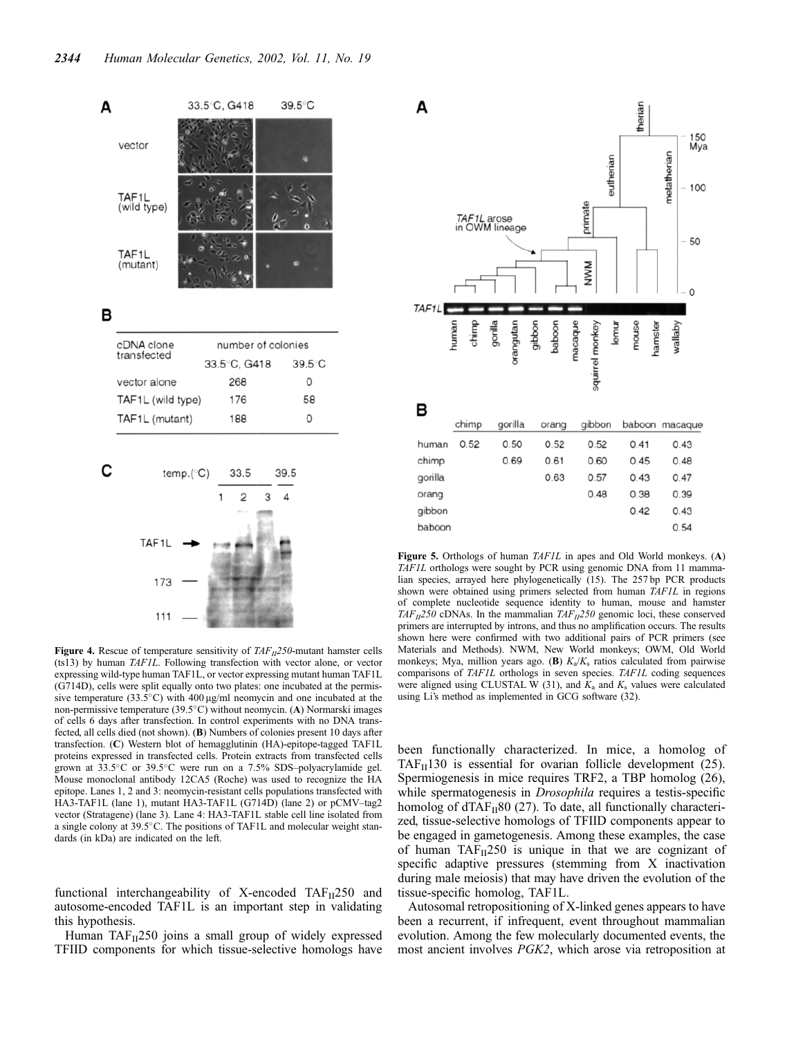

Figure 4. Rescue of temperature sensitivity of  $TAF_{II}250$ -mutant hamster cells (ts13) by human TAF1L. Following transfection with vector alone, or vector expressing wild-type human TAF1L, or vector expressing mutant human TAF1L (G714D), cells were split equally onto two plates: one incubated at the permissive temperature (33.5 $\degree$ C) with 400 µg/ml neomycin and one incubated at the non-permissive temperature (39.5°C) without neomycin. (A) Normarski images of cells 6 days after transfection. In control experiments with no DNA transfected, all cells died (not shown). (B) Numbers of colonies present 10 days after transfection. (C) Western blot of hemagglutinin (HA)-epitope-tagged TAF1L proteins expressed in transfected cells. Protein extracts from transfected cells grown at 33.5°C or 39.5°C were run on a 7.5% SDS-polyacrylamide gel. Mouse monoclonal antibody 12CA5 (Roche) was used to recognize the HA epitope. Lanes 1, 2 and 3: neomycin-resistant cells populations transfected with HA3-TAF1L (lane 1), mutant HA3-TAF1L (G714D) (lane 2) or pCMV–tag2 vector (Stratagene) (lane 3). Lane 4: HA3-TAF1L stable cell line isolated from a single colony at 39.5°C. The positions of TAF1L and molecular weight standards (in kDa) are indicated on the left.

functional interchangeability of X-encoded  $TAF_{II}250$  and autosome-encoded TAF1L is an important step in validating this hypothesis.

Human  $TAF_{II}250$  joins a small group of widely expressed TFIID components for which tissue-selective homologs have



Figure 5. Orthologs of human TAF1L in apes and Old World monkeys. (A) TAF1L orthologs were sought by PCR using genomic DNA from 11 mammalian species, arrayed here phylogenetically (15). The 257 bp PCR products shown were obtained using primers selected from human TAF1L in regions of complete nucleotide sequence identity to human, mouse and hamster TAF<sub>II</sub>250 cDNAs. In the mammalian TAF<sub>II</sub>250 genomic loci, these conserved primers are interrupted by introns, and thus no amplification occurs. The results shown here were confirmed with two additional pairs of PCR primers (see Materials and Methods). NWM, New World monkeys; OWM, Old World monkeys; Mya, million years ago. (B)  $K_a/K_s$  ratios calculated from pairwise comparisons of TAF1L orthologs in seven species. TAF1L coding sequences were aligned using CLUSTAL W (31), and  $K_a$  and  $K_s$  values were calculated using Li's method as implemented in GCG software (32).

been functionally characterized. In mice, a homolog of TAF $_{\text{II}}$ 130 is essential for ovarian follicle development (25). Spermiogenesis in mice requires TRF2, a TBP homolog (26), while spermatogenesis in *Drosophila* requires a testis-specific homolog of  $dTAF_H80$  (27). To date, all functionally characterized, tissue-selective homologs of TFIID components appear to be engaged in gametogenesis. Among these examples, the case of human  $TAF_{II}250$  is unique in that we are cognizant of specific adaptive pressures (stemming from X inactivation during male meiosis) that may have driven the evolution of the tissue-specific homolog, TAF1L.

Autosomal retropositioning of X-linked genes appears to have been a recurrent, if infrequent, event throughout mammalian evolution. Among the few molecularly documented events, the most ancient involves PGK2, which arose via retroposition at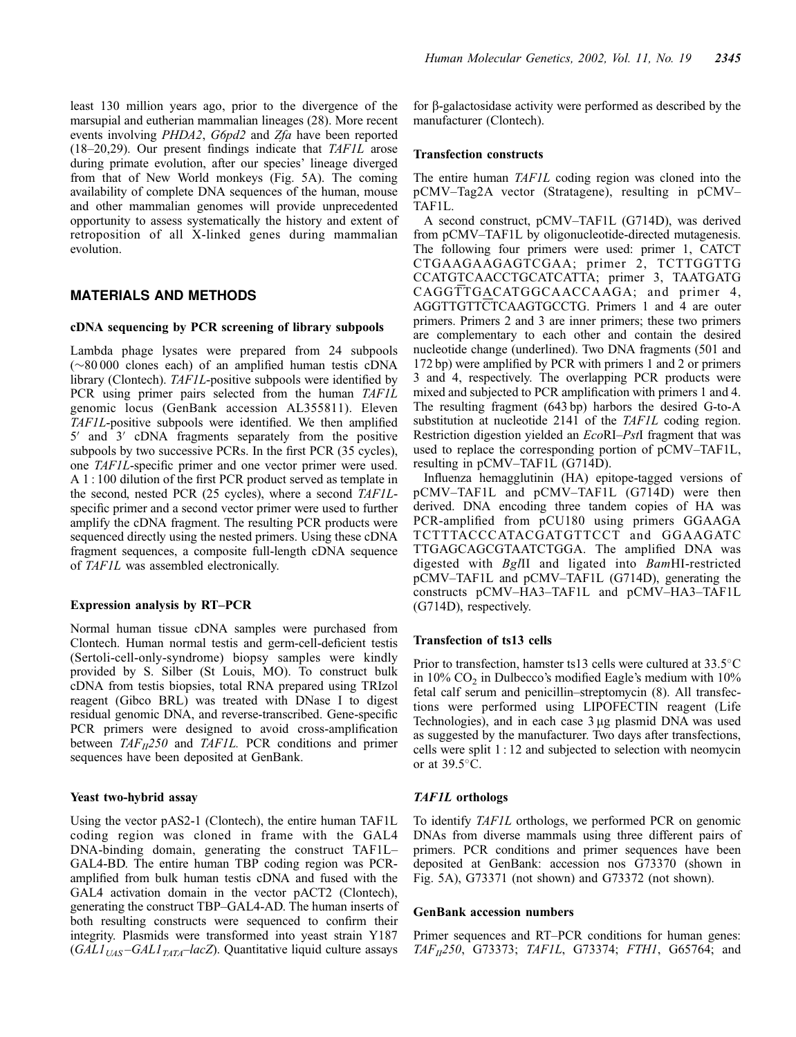least 130 million years ago, prior to the divergence of the marsupial and eutherian mammalian lineages (28). More recent events involving PHDA2, G6pd2 and Zfa have been reported (18–20,29). Our present findings indicate that TAF1L arose during primate evolution, after our species' lineage diverged from that of New World monkeys (Fig. 5A). The coming availability of complete DNA sequences of the human, mouse and other mammalian genomes will provide unprecedented opportunity to assess systematically the history and extent of retroposition of all X-linked genes during mammalian evolution.

## **MATERIALS AND METHODS**

## cDNA sequencing by PCR screening of library subpools

Lambda phage lysates were prepared from 24 subpools  $(\sim 80 000$  clones each) of an amplified human testis cDNA library (Clontech). TAF1L-positive subpools were identified by PCR using primer pairs selected from the human TAF1L genomic locus (GenBank accession AL355811). Eleven TAF1L-positive subpools were identified. We then amplified  $5'$  and  $3'$  cDNA fragments separately from the positive subpools by two successive PCRs. In the first PCR (35 cycles), one TAF1L-specific primer and one vector primer were used. A 1 : 100 dilution of the first PCR product served as template in the second, nested PCR (25 cycles), where a second TAF1Lspecific primer and a second vector primer were used to further amplify the cDNA fragment. The resulting PCR products were sequenced directly using the nested primers. Using these cDNA fragment sequences, a composite full-length cDNA sequence of TAF1L was assembled electronically.

#### Expression analysis by RT–PCR

Normal human tissue cDNA samples were purchased from Clontech. Human normal testis and germ-cell-deficient testis (Sertoli-cell-only-syndrome) biopsy samples were kindly provided by S. Silber (St Louis, MO). To construct bulk cDNA from testis biopsies, total RNA prepared using TRIzol reagent (Gibco BRL) was treated with DNase I to digest residual genomic DNA, and reverse-transcribed. Gene-specific PCR primers were designed to avoid cross-amplification between  $TAF_{II}250$  and  $TAF1L$ . PCR conditions and primer sequences have been deposited at GenBank.

## Yeast two-hybrid assay

Using the vector pAS2-1 (Clontech), the entire human TAF1L coding region was cloned in frame with the GAL4 DNA-binding domain, generating the construct TAF1L– GAL4-BD. The entire human TBP coding region was PCRamplified from bulk human testis cDNA and fused with the GAL4 activation domain in the vector pACT2 (Clontech), generating the construct TBP–GAL4-AD. The human inserts of both resulting constructs were sequenced to confirm their integrity. Plasmids were transformed into yeast strain Y187  $(GAL1<sub>UAS</sub>-GAL1<sub>TATA</sub>-lacZ)$ . Quantitative liquid culture assays

for b-galactosidase activity were performed as described by the manufacturer (Clontech).

#### Transfection constructs

The entire human TAF1L coding region was cloned into the pCMV–Tag2A vector (Stratagene), resulting in pCMV– TAF1L.

A second construct, pCMV–TAF1L (G714D), was derived from pCMV–TAF1L by oligonucleotide-directed mutagenesis. The following four primers were used: primer 1, CATCT CTGAAGAAGAGTCGAA; primer 2, TCTTGGTTG CCATGTCAACCTGCATCATTA; primer 3, TAATGATG CAGGTTGACATGGCAACCAAGA; and primer 4, AGGTTGTTCTCAAGTGCCTG. Primers 1 and 4 are outer primers. Primers 2 and 3 are inner primers; these two primers are complementary to each other and contain the desired nucleotide change (underlined). Two DNA fragments (501 and 172 bp) were amplified by PCR with primers 1 and 2 or primers 3 and 4, respectively. The overlapping PCR products were mixed and subjected to PCR amplification with primers 1 and 4. The resulting fragment (643 bp) harbors the desired G-to-A substitution at nucleotide 2141 of the TAF1L coding region. Restriction digestion yielded an EcoRI–PstI fragment that was used to replace the corresponding portion of pCMV–TAF1L, resulting in pCMV–TAF1L (G714D).

Influenza hemagglutinin (HA) epitope-tagged versions of pCMV–TAF1L and pCMV–TAF1L (G714D) were then derived. DNA encoding three tandem copies of HA was PCR-amplified from pCU180 using primers GGAAGA TCTTTACCCATACGATGTTCCT and GGAAGATC TTGAGCAGCGTAATCTGGA. The amplified DNA was digested with BglII and ligated into BamHI-restricted pCMV–TAF1L and pCMV–TAF1L (G714D), generating the constructs pCMV–HA3–TAF1L and pCMV–HA3–TAF1L (G714D), respectively.

## Transfection of ts13 cells

Prior to transfection, hamster ts13 cells were cultured at 33.5°C in  $10\%$  CO<sub>2</sub> in Dulbecco's modified Eagle's medium with  $10\%$ fetal calf serum and penicillin–streptomycin (8). All transfections were performed using LIPOFECTIN reagent (Life Technologies), and in each case 3 µg plasmid DNA was used as suggested by the manufacturer. Two days after transfections, cells were split 1 : 12 and subjected to selection with neomycin or at  $39.5^{\circ}$ C.

## TAF1L orthologs

To identify TAF1L orthologs, we performed PCR on genomic DNAs from diverse mammals using three different pairs of primers. PCR conditions and primer sequences have been deposited at GenBank: accession nos G73370 (shown in Fig. 5A), G73371 (not shown) and G73372 (not shown).

#### GenBank accession numbers

Primer sequences and RT–PCR conditions for human genes:  $TAF_{II}250$ , G73373; TAF1L, G73374; FTH1, G65764; and